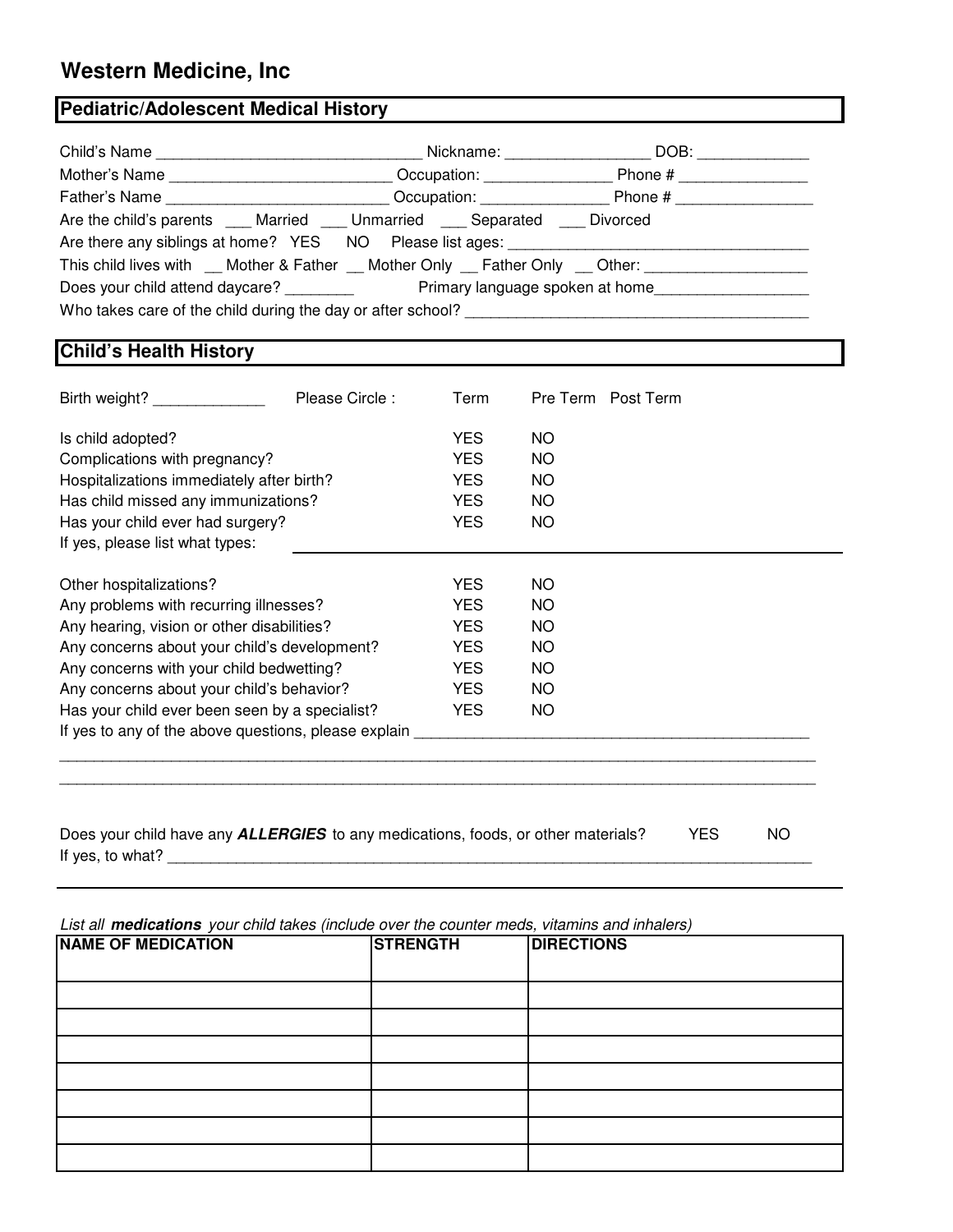## **Western Medicine, Inc**

## **Pediatric/Adolescent Medical History**

|                                                                                             | Nickname:                         | DOB:    |  |  |  |  |
|---------------------------------------------------------------------------------------------|-----------------------------------|---------|--|--|--|--|
| Mother's Name                                                                               | Occupation:                       | Phone # |  |  |  |  |
|                                                                                             | Occupation: <u>______________</u> | Phone # |  |  |  |  |
| Are the child's parents ____ Married ____ Unmarried ____ Separated ____ Divorced            |                                   |         |  |  |  |  |
| Are there any siblings at home? YES NO Please list ages:                                    |                                   |         |  |  |  |  |
| This child lives with __ Mother & Father __ Mother Only __ Father Only __ Other: __________ |                                   |         |  |  |  |  |
| Does your child attend daycare?                                                             | Primary language spoken at home   |         |  |  |  |  |
| Who takes care of the child during the day or after school?                                 |                                   |         |  |  |  |  |

## **Child's Health History**

| Birth weight?                                        | Please Circle: | Term       |     | Pre Term Post Term |
|------------------------------------------------------|----------------|------------|-----|--------------------|
| Is child adopted?                                    |                | <b>YES</b> | NO. |                    |
| Complications with pregnancy?                        |                | <b>YES</b> | NO. |                    |
| Hospitalizations immediately after birth?            |                | <b>YES</b> | NO. |                    |
| Has child missed any immunizations?                  |                | <b>YES</b> | NO. |                    |
| Has your child ever had surgery?                     |                | <b>YES</b> | NO. |                    |
| If yes, please list what types:                      |                |            |     |                    |
|                                                      |                |            |     |                    |
| Other hospitalizations?                              |                | YES.       | NO. |                    |
| Any problems with recurring illnesses?               |                | YES.       | NO. |                    |
| Any hearing, vision or other disabilities?           |                | <b>YES</b> | NO. |                    |
| Any concerns about your child's development?         |                | YES.       | NO. |                    |
| Any concerns with your child bedwetting?             |                | YES.       | NO. |                    |
| Any concerns about your child's behavior?            |                | YES.       | NO. |                    |
| Has your child ever been seen by a specialist?       |                | <b>YES</b> | NO. |                    |
| If yes to any of the above questions, please explain |                |            |     |                    |
|                                                      |                |            |     |                    |
|                                                      |                |            |     |                    |
|                                                      |                |            |     |                    |

Does your child have any **ALLERGIES** to any medications, foods, or other materials? YES NO If yes, to what? \_\_\_\_\_\_\_\_\_\_\_\_\_\_\_\_\_\_\_\_\_\_\_\_\_\_\_\_\_\_\_\_\_\_\_\_\_\_\_\_\_\_\_\_\_\_\_\_\_\_\_\_\_\_\_\_\_\_\_\_\_\_\_\_\_\_\_\_\_\_\_\_\_\_\_

List all **medications** your child takes (include over the counter meds, vitamins and inhalers)

| <b>NAME OF MEDICATION</b> | <b>STRENGTH</b> | <b>DIRECTIONS</b> |
|---------------------------|-----------------|-------------------|
|                           |                 |                   |
|                           |                 |                   |
|                           |                 |                   |
|                           |                 |                   |
|                           |                 |                   |
|                           |                 |                   |
|                           |                 |                   |
|                           |                 |                   |